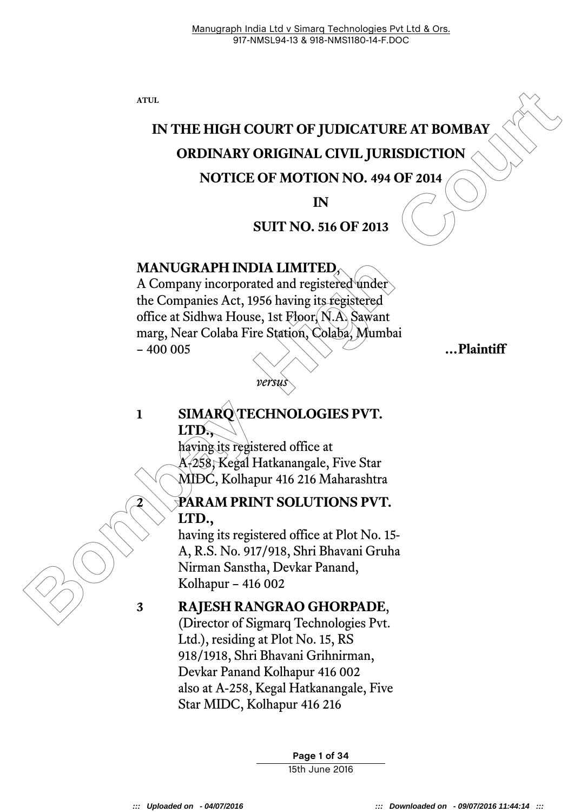**ATUL** 

# **IN THE HIGH COURT OF JUDICATURE AT BOMBAY ORDINARY ORIGINAL CIVIL JURISDICTION NOTICE OF MOTION NO. 494 OF 2014**

#### **IN**

#### **SUIT NO. 516 OF 2013**

#### **MANUGRAPH INDIA LIMITED**,

ATIL<br> **Bombar Court CALC (SECUTE AN ACCENT ACTES AN ACCENT ACTES OF MOTION NO. 494 OF 2014<br>
<b>BOTTLE OF MOTION NO. 494 OF 2014**<br> **BOTTLE OF MOTION NO. 494 OF 2014**<br> **BOTTLE OF MOTION LIMITED.**<br> **BOTTLE ACTES ACTION ACTES AN** A Company incorporated and registered under the Companies Act, 1956 having its registered office at Sidhwa House, 1st Floor, N.A. Sawant marg, Near Colaba Fire Station, Colaba, Mumbai – 400 005 **…Plaintiff**

### *versus*

#### **1 SIMARQ TECHNOLOGIES PVT. LTD.,**

having its registered office at A-258, Kegal Hatkanangale, Five Star MIDC, Kolhapur 416 216 Maharashtra

#### **2 PARAM PRINT SOLUTIONS PVT. LTD.,**

having its registered office at Plot No. 15- A, R.S. No. 917/918, Shri Bhavani Gruha Nirman Sanstha, Devkar Panand, Kolhapur – 416 002

#### **3 RAJESH RANGRAO GHORPADE**,

(Director of Sigmarq Technologies Pvt. Ltd.), residing at Plot No. 15, RS 918/1918, Shri Bhavani Grihnirman, Devkar Panand Kolhapur 416 002 also at A-258, Kegal Hatkanangale, Five Star MIDC, Kolhapur 416 216

> **Page 1 of 34** 15th June 2016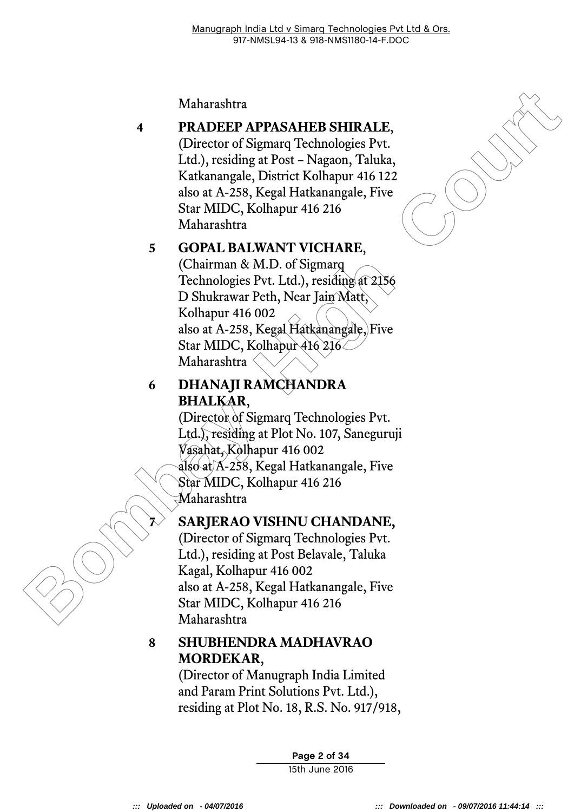Maharashtra

# **4 PRADEEP APPASAHEB SHIRALE**,

(Director of Sigmarq Technologies Pvt. Ltd.), residing at Post – Nagaon, Taluka, Katkanangale, District Kolhapur 416 122 also at A-258, Kegal Hatkanangale, Five Star MIDC, Kolhapur 416 216 Maharashtra

### **5 GOPAL BALWANT VICHARE**,

Maharashtra<br> **PRADEEP APPASAHEB SHIRALE,**<br>
(Director of Sigmarq Technologies Pvt.<br>
Led.), residing at Post – Nagaon, Taluka,<br>
Katkanangale, District Kolhapur 416 (216<br>
sloa of A-258, Kegal Hatkanangale, Five<br>
Star MIDC, Ko (Chairman & M.D. of Sigmarq Technologies Pvt. Ltd.), residing at 2156 D Shukrawar Peth, Near Jain Matt, Kolhapur 416 002 also at A-258, Kegal Hatkanangale, Five Star MIDC, Kolhapur 416 216 Maharashtra

#### **6 DHANAJI RAMCHANDRA BHALKAR**,

(Director of Sigmarq Technologies Pvt. Ltd.), residing at Plot No. 107, Saneguruji Vasahat, Kolhapur 416 002 also at A-258, Kegal Hatkanangale, Five Star MIDC, Kolhapur 416 216 Maharashtra

### **7 SARJERAO VISHNU CHANDANE,**

(Director of Sigmarq Technologies Pvt. Ltd.), residing at Post Belavale, Taluka Kagal, Kolhapur 416 002 also at A-258, Kegal Hatkanangale, Five Star MIDC, Kolhapur 416 216 Maharashtra

### **8 SHUBHENDRA MADHAVRAO MORDEKAR**,

(Director of Manugraph India Limited and Param Print Solutions Pvt. Ltd.), residing at Plot No. 18, R.S. No. 917/918,

> **Page 2 of 34** 15th June 2016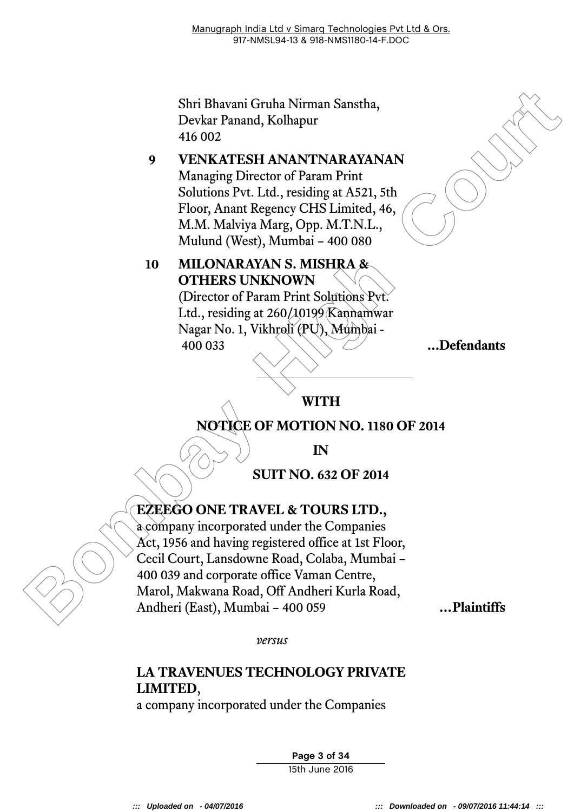Shri Bhavani Gruha Nirman Sanstha, Devkar Panand, Kolhapur 416 002

#### **9 VENKATESH ANANTNARAYANAN**

Managing Director of Param Print Solutions Pvt. Ltd., residing at A521, 5th Floor, Anant Regency CHS Limited, 46, M.M. Malviya Marg, Opp. M.T.N.L., Mulund (West), Mumbai – 400 080

# **10 MILONARAYAN S. MISHRA & OTHERS UNKNOWN**

(Director of Param Print Solutions Pvt. Ltd., residing at 260/10199 Kannamwar Nagar No. 1, Vikhroli (PU), Mumbai - 400 033 **...Defendants**

### **WITH**

### **NOTICE OF MOTION NO. 1180 OF 2014**

**IN** 

**SUIT NO. 632 OF 2014** 

# **EZEEGO ONE TRAVEL & TOURS LTD.,**

Shri Bhavani Gruha Nirman Sanstha,<br>
Devkar Panand, Kolhapur<br>
416 002<br> **9** VENKATESH ANANTNARAYANAN<br>
Managing Director of Param Print<br>
Solutions Pvt. Ltd., residing at A521, 5th<br>
Floor, Ann Regency CHS Limited, 46,<br>
Mulund a company incorporated under the Companies Act, 1956 and having registered office at 1st Floor, Cecil Court, Lansdowne Road, Colaba, Mumbai – 400 039 and corporate office Vaman Centre, Marol, Makwana Road, Off Andheri Kurla Road, Andheri (East), Mumbai – 400 059 **…Plaintiffs**

*versus* 

# **LA TRAVENUES TECHNOLOGY PRIVATE LIMITED**,

a company incorporated under the Companies

**Page 3 of 34** 15th June 2016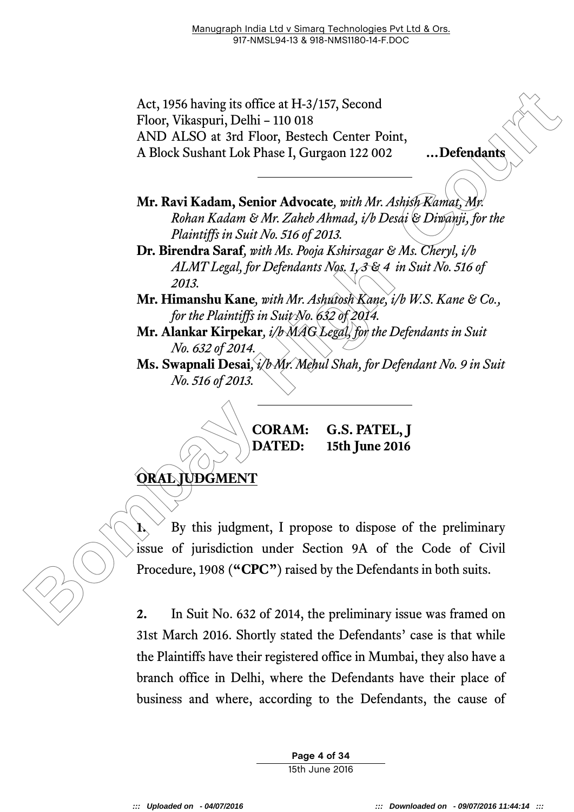Act, 1956 having its office at H-3/157, Second Floor, Vikaspuri, Delhi – 110 018 AND ALSO at 3rd Floor, Bestech Center Point, A Block Sushant Lok Phase I, Gurgaon 122 002 **…Defendants**

**Mr. Ravi Kadam, Senior Advocate***, with Mr.Ashish Kamat, Mr. Rohan Kadam & Mr. Zaheb Ahmad, i/b Desai & Diwanji, for the Plaintiffs in Suit No. 516 of 2013.* 

**Dr. Birendra Saraf***, with Ms. Pooja Kshirsagar & Ms. Cheryl, i/b ALMT Legal, for Defendants Nos. 1, 3 & 4 in Suit No. 516 of 2013.* 

**Mr. Himanshu Kane***, with Mr.Ashutosh Kane, i/b W.S. Kane & Co., for the Plaintiffs in Suit No. 632 of 2014.* 

**Mr. Alankar Kirpekar***, i/b MAG Legal, for the Defendants in Suit No. 632 of 2014.* 

**Ms. Swapnali Desai***, i/b Mr. Mehul Shah, for Defendant No. 9 in Suit No. 516 of 2013.* 

**CORAM: G.S. PATEL, J DATED: 15th June 2016** 

**ORAL JUDGMENT**

Act, 1956 having its office at H-3/157, Second<br>
Floor, Vikaspuri, Delhi - 110 018<br>
AND ALSO at 3rd Floor, Bestech Center Point,<br>
AND ALSO at 3rd Floor, Bestech Center Point,<br>
<br> **Bombay Kadam, Senior Advocate**, *with Mr. An*  $\mathbf{I}$ ,  $\mathbf{I}$  By this judgment, I propose to dispose of the preliminary issue of jurisdiction under Section 9A of the Code of Civil Procedure, 1908 (**"CPC"**) raised by the Defendants in both suits.

**2.** In Suit No. 632 of 2014, the preliminary issue was framed on 31st March 2016. Shortly stated the Defendants' case is that while the Plaintiffs have their registered office in Mumbai, they also have a branch office in Delhi, where the Defendants have their place of business and where, according to the Defendants, the cause of

> **Page 4 of 34** 15th June 2016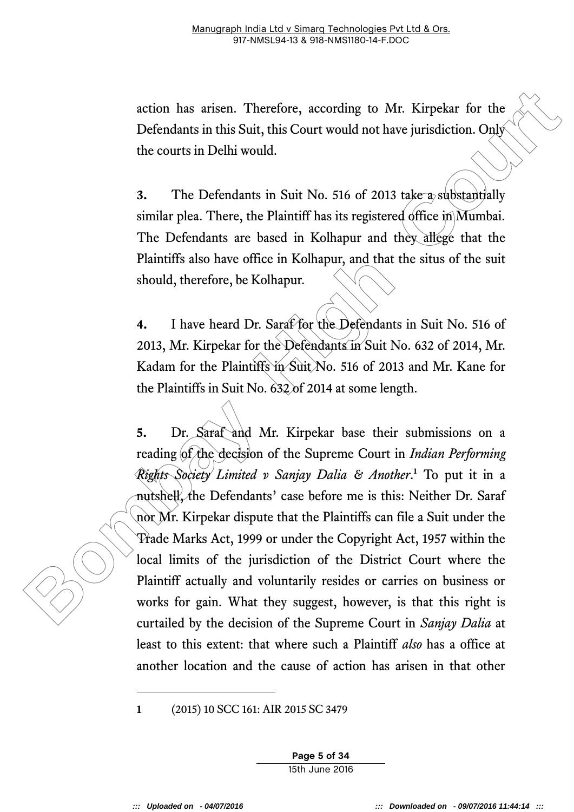action has arisen. Therefore, according to Mr. Kirpekar for the Defendants in this Suit, this Court would not have jurisdiction. Only the courts in Delhi would.

**3.** The Defendants in Suit No. 516 of 2013 take a substantially similar plea. There, the Plaintiff has its registered office in Mumbai. The Defendants are based in Kolhapur and they allege that the Plaintiffs also have office in Kolhapur, and that the situs of the suit should, therefore, be Kolhapur.

**4.** I have heard Dr. Saraf for the Defendants in Suit No. 516 of 2013, Mr. Kirpekar for the Defendants in Suit No. 632 of 2014, Mr. Kadam for the Plaintiffs in Suit No. 516 of 2013 and Mr. Kane for the Plaintiffs in Suit No. 632 of 2014 at some length.

action has arisen. Therefore, according to Mr. Kirpekar for the Defendants in this Suit, this Court would not have jurisdiction. Only the courts in Delhi would.<br>
3. The Defendants in Suit No. 516 of 2013 rake a subistanti **5.** Dr. Saraf and Mr. Kirpekar base their submissions on a reading of the decision of the Supreme Court in *Indian Performing Rights Society Limited v Sanjay Dalia & Another*. **<sup>1</sup>** To put it in a nutshell, the Defendants' case before me is this: Neither Dr. Saraf nor Mr. Kirpekar dispute that the Plaintiffs can file a Suit under the Trade Marks Act, 1999 or under the Copyright Act, 1957 within the local limits of the jurisdiction of the District Court where the Plaintiff actually and voluntarily resides or carries on business or works for gain. What they suggest, however, is that this right is curtailed by the decision of the Supreme Court in *Sanjay Dalia* at least to this extent: that where such a Plaintiff *also* has a office at another location and the cause of action has arisen in that other

**1** (2015) 10 SCC 161: AIR 2015 SC 3479

**Page 5 of 34** 15th June 2016

-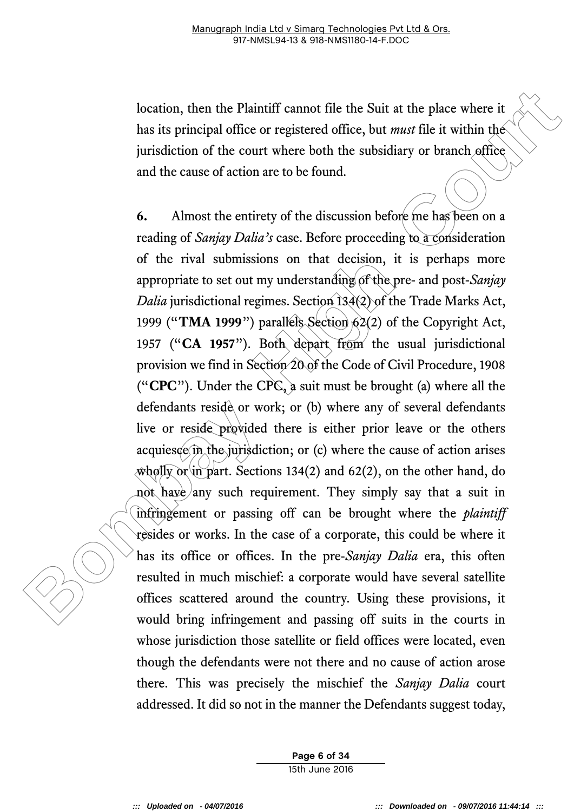location, then the Plaintiff cannot file the Suit at the place where it has its principal office or registered office, but *must* file it within the jurisdiction of the court where both the subsidiary or branch office and the cause of action are to be found.

**Ioation, then the Plaintiff cannot** file the Suit at the place where it<br>has its principal office or registered office, but *must* file it within the<br>jurisdiction of the court where both the subsidiary or branch office<br>an **6.** Almost the entirety of the discussion before me has been on a reading of *Sanjay Dalia's* case. Before proceeding to a consideration of the rival submissions on that decision, it is perhaps more appropriate to set out my understanding of the pre- and post-*Sanjay Dalia* jurisdictional regimes. Section 134(2) of the Trade Marks Act, 1999 ("**TMA 1999**") parallels Section 62(2) of the Copyright Act, 1957 ("**CA 1957**"). Both depart from the usual jurisdictional provision we find in Section 20 of the Code of Civil Procedure, 1908 ("**CPC**"). Under the CPC, a suit must be brought (a) where all the defendants reside or work; or (b) where any of several defendants live or reside provided there is either prior leave or the others acquiesce in the jurisdiction; or (c) where the cause of action arises wholly or in part. Sections 134(2) and 62(2), on the other hand, do not have any such requirement. They simply say that a suit in infringement or passing off can be brought where the *plaintiff* resides or works. In the case of a corporate, this could be where it has its office or offices. In the pre-*Sanjay Dalia* era, this often resulted in much mischief: a corporate would have several satellite offices scattered around the country. Using these provisions, it would bring infringement and passing off suits in the courts in whose jurisdiction those satellite or field offices were located, even though the defendants were not there and no cause of action arose there. This was precisely the mischief the *Sanjay Dalia* court addressed. It did so not in the manner the Defendants suggest today,

> **Page 6 of 34** 15th June 2016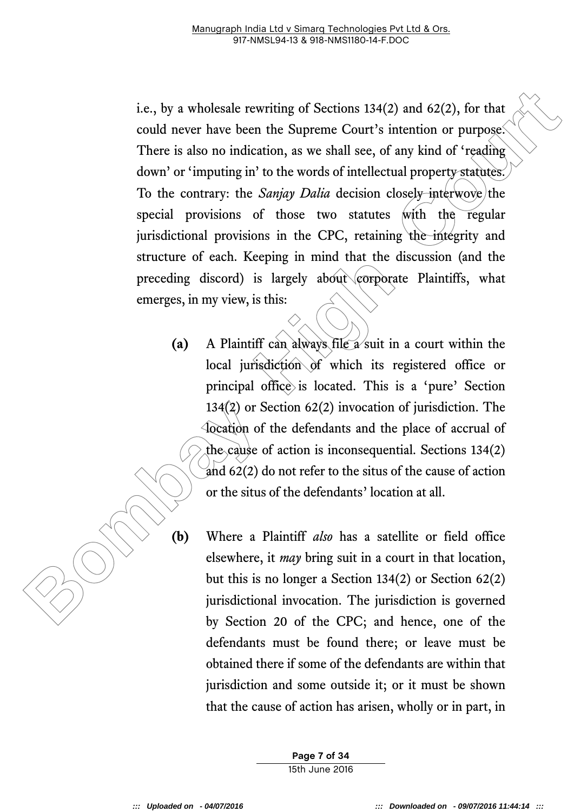**I.e.**, by a wholesale rewriting of Sections 134(2) and 62(2), for that<br>could never have been the Supreme Court's intention or purpose.<br>There is also no indication, as we shall see, of any kind of 'reading<br>down' or 'imput i.e., by a wholesale rewriting of Sections 134(2) and 62(2), for that could never have been the Supreme Court's intention or purpose. There is also no indication, as we shall see, of any kind of 'reading down' or 'imputing in' to the words of intellectual property statutes. To the contrary: the *Sanjay Dalia* decision closely interwove/the special provisions of those two statutes with the regular jurisdictional provisions in the CPC, retaining the integrity and structure of each. Keeping in mind that the discussion (and the preceding discord) is largely about corporate Plaintiffs, what emerges, in my view, is this:

- **(a)** A Plaintiff can always file a suit in a court within the local jurisdiction of which its registered office or principal office is located. This is a 'pure' Section 134(2) or Section 62(2) invocation of jurisdiction. The location of the defendants and the place of accrual of the cause of action is inconsequential. Sections 134(2) and 62(2) do not refer to the situs of the cause of action or the situs of the defendants' location at all.
- **(b)** Where a Plaintiff *also* has a satellite or field office elsewhere, it *may* bring suit in a court in that location, but this is no longer a Section 134(2) or Section 62(2) jurisdictional invocation. The jurisdiction is governed by Section 20 of the CPC; and hence, one of the defendants must be found there; or leave must be obtained there if some of the defendants are within that jurisdiction and some outside it; or it must be shown that the cause of action has arisen, wholly or in part, in

**Page 7 of 34** 15th June 2016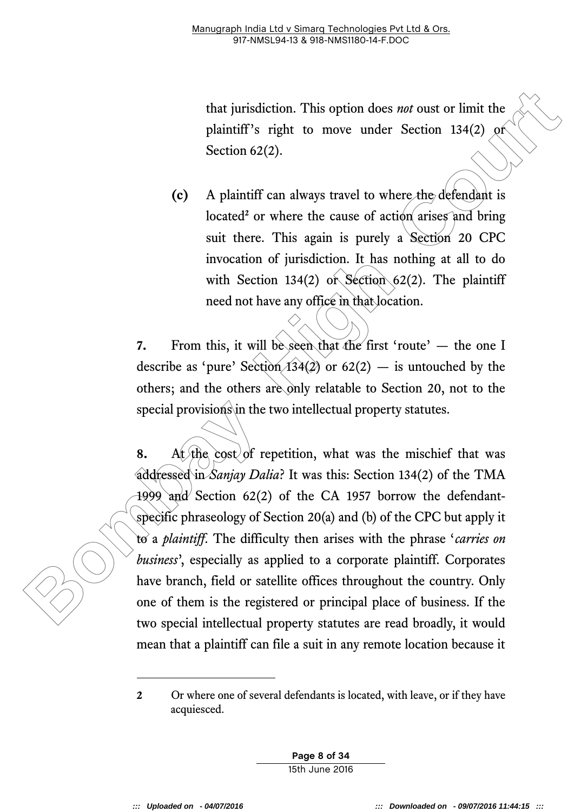that jurisdiction. This option does *not* oust or limit the plaintiff's right to move under Section 134(2) or Section 62(2).

**(c)** A plaintiff can always travel to where the defendant is located<sup>2</sup> or where the cause of action arises and bring suit there. This again is purely a Section 20 CPC invocation of jurisdiction. It has nothing at all to do with Section 134(2) or Section  $62(2)$ . The plaintiff need not have any office in that location.

**7.** From this, it will be seen that the first 'route' — the one I describe as 'pure' Section  $(134(2))$  or  $62(2)$  — is untouched by the others; and the others are only relatable to Section 20, not to the special provisions in the two intellectual property statutes.

that jurisdiction. This option does *mot* oust or limit the plaintiff''s right to move under Section 134(2) Section 62(2).<br> **Co** A plaintiff' can always travel to where the defendant is located or where the cause of action **8.** At the cost of repetition, what was the mischief that was addressed in *Sanjay Dalia*? It was this: Section 134(2) of the TMA 1999 and Section 62(2) of the CA 1957 borrow the defendantspecific phraseology of Section 20(a) and (b) of the CPC but apply it to a *plaintiff*. The difficulty then arises with the phrase '*carries on business*' , especially as applied to a corporate plaintiff. Corporates have branch, field or satellite offices throughout the country. Only one of them is the registered or principal place of business. If the two special intellectual property statutes are read broadly, it would mean that a plaintiff can file a suit in any remote location because it

**Page 8 of 34** 15th June 2016

-

**<sup>2</sup>** Or where one of several defendants is located, with leave, or if they have acquiesced.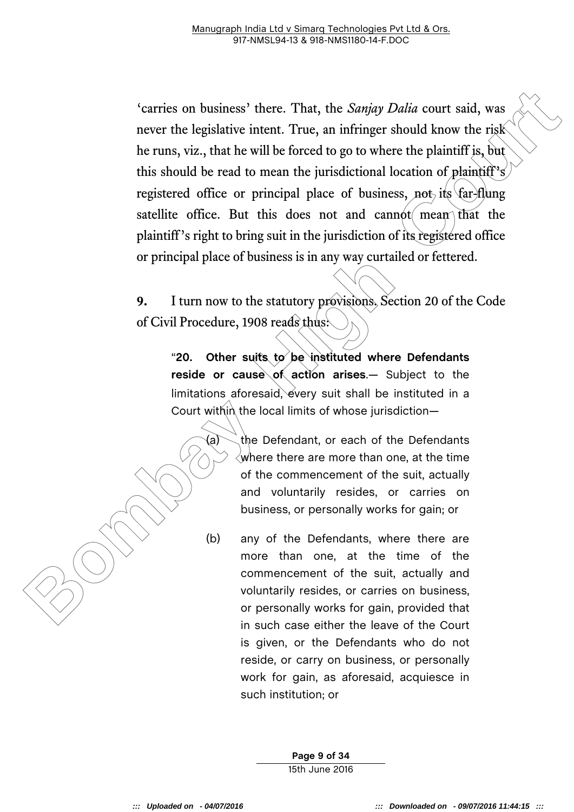Corriso on business' there. That, the *Sanjay Dalia* court said, was<br>never the legislative intent. True, an infringer should know the risk<br>the runs, viz., that he will be forced to go to where the plaintiff is, but<br>this sh 'carries on business' there. That, the *Sanjay Dalia* court said, was never the legislative intent. True, an infringer should know the risk he runs, viz., that he will be forced to go to where the plaintiff is, but this should be read to mean the jurisdictional location of plaintiff's registered office or principal place of business, not its  $\frac{1}{x}$  flung satellite office. But this does not and cannot mean that the plaintiff's right to bring suit in the jurisdiction of its registered office or principal place of business is in any way curtailed or fettered.

**9.** I turn now to the statutory provisions. Section 20 of the Code of Civil Procedure, 1908 reads thus:

"**20. Other suits to be instituted where Defendants reside or cause of action arises**.— Subject to the limitations aforesaid, every suit shall be instituted in a Court within the local limits of whose jurisdiction-

> (a)  $\diagdown$  the Defendant, or each of the Defendants  $\langle$  where there are more than one, at the time of the commencement of the suit, actually and voluntarily resides, or carries on business, or personally works for gain; or

> (b) any of the Defendants, where there are more than one, at the time of the commencement of the suit, actually and voluntarily resides, or carries on business, or personally works for gain, provided that in such case either the leave of the Court is given, or the Defendants who do not reside, or carry on business, or personally work for gain, as aforesaid, acquiesce in such institution; or

> > **Page 9 of 34** 15th June 2016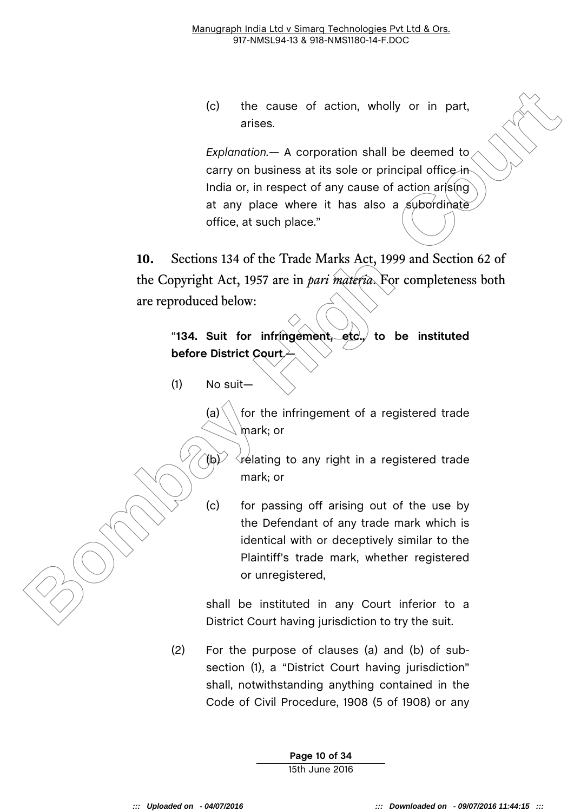(c) the cause of action, wholly or in part, arises.

(c) the cause of action, wholly or in part,<br>
arises.<br> **Boylantotion—A** corporation shall be deemed to<br>
carry on business at its sole or principal office in<br>
India or, in respect of any cause of action arising<br>
of the c, bu *Explanation.—* A corporation shall be deemed to carry on business at its sole or principal office in India or, in respect of any cause of action arising at any place where it has also a subordinate office, at such place."

**10.** Sections 134 of the Trade Marks Act, 1999 and Section 62 of the Copyright Act, 1957 are in *pari materia*. For completeness both are reproduced below:

"**134. Suit for infringement, etc., to be instituted before District Court**.—

(1) No suit—

(a)  $\setminus$  for the infringement of a registered trade mark; or

 $\hat{f}$ (b) $\hat{f}$   $\hat{f}$  relating to any right in a registered trade mark; or

(c) for passing off arising out of the use by the Defendant of any trade mark which is identical with or deceptively similar to the Plaintiff's trade mark, whether registered or unregistered,

shall be instituted in any Court inferior to a District Court having jurisdiction to try the suit.

(2) For the purpose of clauses (a) and (b) of subsection (1), a "District Court having jurisdiction" shall, notwithstanding anything contained in the Code of Civil Procedure, 1908 (5 of 1908) or any

> **Page 10 of 34** 15th June 2016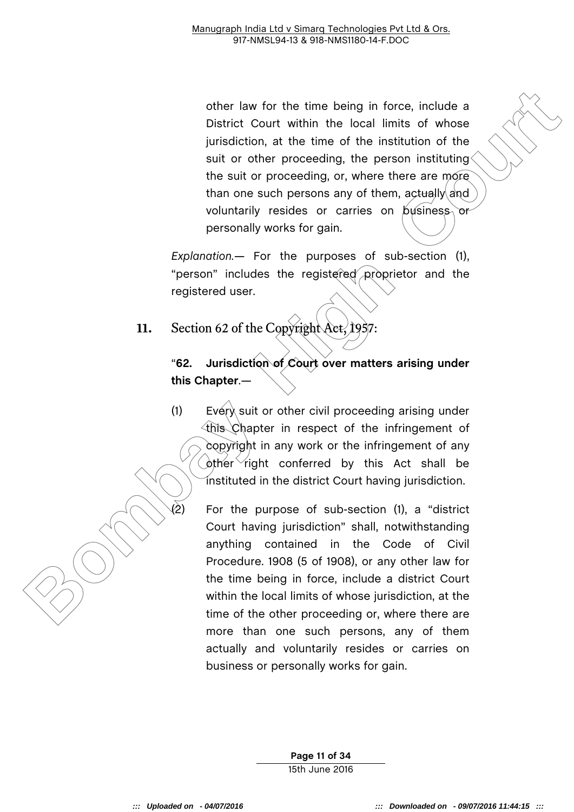other law for the time being in force, include a<br>
District Court within the local limits of whose<br>
jurisdiction, at the time of the institution of the<br>
suit or other proceeding, the person instituting<br>
the suit or proceedi other law for the time being in force, include a District Court within the local limits of whose jurisdiction, at the time of the institution of the suit or other proceeding, the person instituting the suit or proceeding, or, where there are more than one such persons any of them, actually and voluntarily resides or carries on  $\beta$  usiness or personally works for gain.

*Explanation.—* For the purposes of sub-section (1), "person" includes the registered proprietor and the registered user.

#### **11.** Section 62 of the Copyright Act, 1957:

#### "**62. Jurisdiction of Court over matters arising under this Chapter**.*—*

(1) Every suit or other civil proceeding arising under this Chapter in respect of the infringement of copyright in any work or the infringement of any  $\phi$ ther right conferred by this Act shall be instituted in the district Court having jurisdiction.

(2) For the purpose of sub-section (1), a "district Court having jurisdiction" shall, notwithstanding anything contained in the Code of Civil Procedure. 1908 (5 of 1908), or any other law for the time being in force, include a district Court within the local limits of whose jurisdiction, at the time of the other proceeding or, where there are more than one such persons, any of them actually and voluntarily resides or carries on business or personally works for gain.

> **Page 11 of 34** 15th June 2016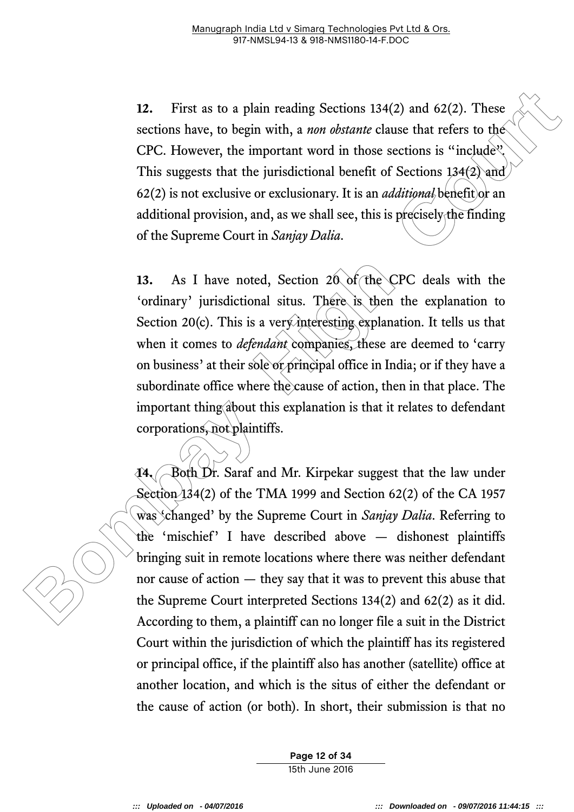**12.** First as to a plain reading Sections 134(2) and 62(2). These sections have, to begin with, a *non obstante* clause that refers to the CPC. However, the important word in those sections is "include". This suggests that the jurisdictional benefit of Sections 134(2) and 62(2) is not exclusive or exclusionary. It is an *additional* benefit or an additional provision, and, as we shall see, this is precisely the finding of the Supreme Court in *Sanjay Dalia*.

12. First as to a plain reading Sections 134(2) and 62(2). These<br>sections have, to begin with, a *non obstante* clause that refers to the<br>CPC. However, the important word in those sections is "include".<br>This suggests that **13.** As I have noted, Section 20 of the CPC deals with the 'ordinary' jurisdictional situs. There is then the explanation to Section 20(c). This is a very interesting explanation. It tells us that when it comes to *defendant* companies, these are deemed to 'carry on business' at their sole or principal office in India; or if they have a subordinate office where the cause of action, then in that place. The important thing about this explanation is that it relates to defendant corporations, not plaintiffs.

**14.** Both Dr. Saraf and Mr. Kirpekar suggest that the law under Section 134(2) of the TMA 1999 and Section 62(2) of the CA 1957 was 'changed' by the Supreme Court in *Sanjay Dalia*. Referring to the 'mischief' I have described above — dishonest plaintiffs bringing suit in remote locations where there was neither defendant nor cause of action — they say that it was to prevent this abuse that the Supreme Court interpreted Sections 134(2) and 62(2) as it did. According to them, a plaintiff can no longer file a suit in the District Court within the jurisdiction of which the plaintiff has its registered or principal office, if the plaintiff also has another (satellite) office at another location, and which is the situs of either the defendant or the cause of action (or both). In short, their submission is that no

> **Page 12 of 34** 15th June 2016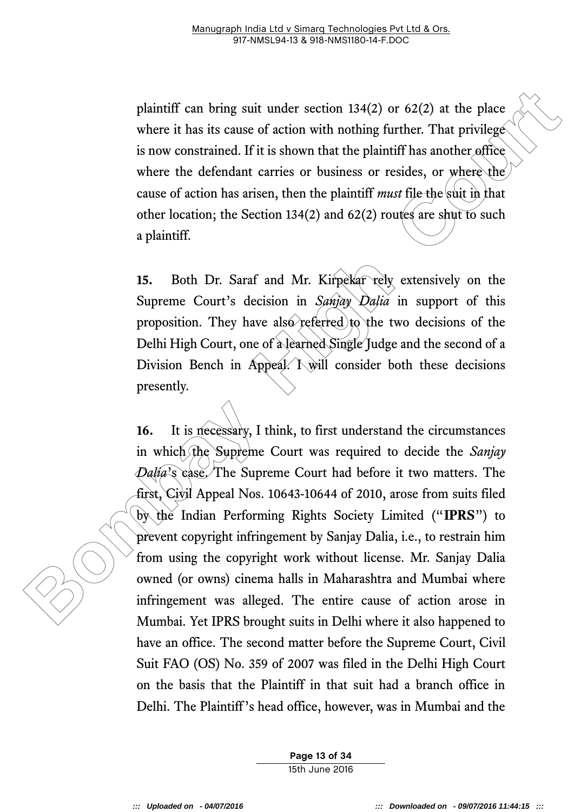plaintiff can bring suit under section 134(2) or 62(2) at the place where it has its cause of action with nothing further. That privilege is now constrained. If it is shown that the plaintiff has another office where the defendant carries or business or resides, or where the cause of action has arisen, then the plaintiff *must* file the suit in that other location; the Section 134(2) and 62(2) routes are shut to such a plaintiff.

**15.** Both Dr. Saraf and Mr. Kirpekar rely extensively on the Supreme Court's decision in *Sanjay Dalia* in support of this proposition. They have also referred to the two decisions of the Delhi High Court, one of a learned Single Judge and the second of a Division Bench in Appeal.  $\overrightarrow{\mathrm{I}}$  N will consider both these decisions presently.

plaintiff can bring suit under section 134(2) or 62(2) at the place<br>where it has its cause of action with nothing further. That privilege<br>is now constrained. If it is shown that the plaintiff has another effect<br>where the **16.** It is necessary, I think, to first understand the circumstances in which the Supreme Court was required to decide the *Sanjay Dalia*'s case. The Supreme Court had before it two matters. The first, Civil Appeal Nos. 10643-10644 of 2010, arose from suits filed by the Indian Performing Rights Society Limited ("**IPRS**") to prevent copyright infringement by Sanjay Dalia, i.e., to restrain him from using the copyright work without license. Mr. Sanjay Dalia owned (or owns) cinema halls in Maharashtra and Mumbai where infringement was alleged. The entire cause of action arose in Mumbai. Yet IPRS brought suits in Delhi where it also happened to have an office. The second matter before the Supreme Court, Civil Suit FAO (OS) No. 359 of 2007 was filed in the Delhi High Court on the basis that the Plaintiff in that suit had a branch office in Delhi. The Plaintiff's head office, however, was in Mumbai and the

> **Page 13 of 34** 15th June 2016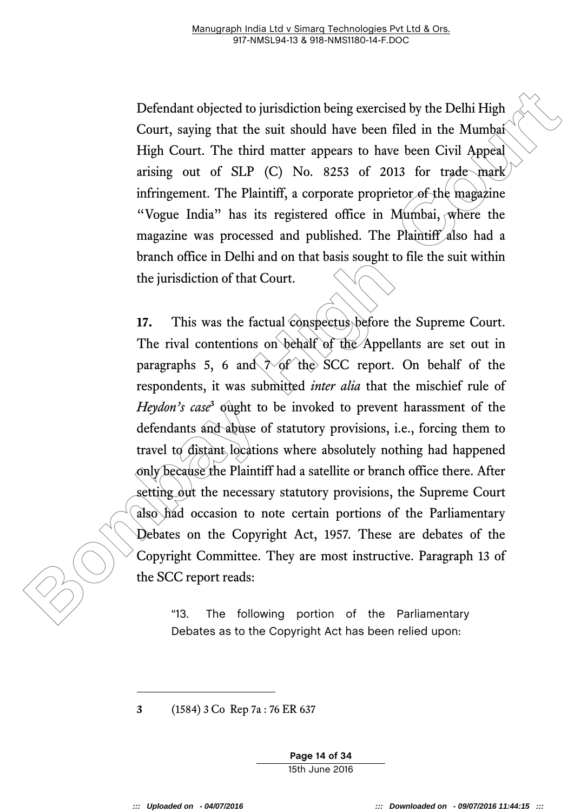Defendant objected to jurisdiction being exercised by the Delhi High Court, saying that the suit should have been filed in the Mumbai High Court. The third matter appears to have been Civil Appeal arising out of SLP (C) No. 8253 of 2013 for trade mark infringement. The Plaintiff, a corporate proprietor of the magazine "Vogue India" has its registered office in Mumbai, where the magazine was processed and published. The Plaintiff also had a branch office in Delhi and on that basis sought to file the suit within the jurisdiction of that Court.

Defendant objected to jurisdiction being exercised by the Delhi High<br>Court, saying that the suit should have been filed in the Mumbat<br>High Court. The third matter appears to have been Civil Appeal<br>arising out of SLP (C) N **17.** This was the factual conspectus before the Supreme Court. The rival contentions on behalf of the Appellants are set out in paragraphs 5, 6 and  $\gamma$  of the SCC report. On behalf of the respondents, it was submitted *inter alia* that the mischief rule of Heydon's case<sup>3</sup> ought to be invoked to prevent harassment of the defendants and abuse of statutory provisions, i.e., forcing them to travel to distant locations where absolutely nothing had happened only because the Plaintiff had a satellite or branch office there. After setting out the necessary statutory provisions, the Supreme Court also had occasion to note certain portions of the Parliamentary Debates on the Copyright Act, 1957. These are debates of the Copyright Committee. They are most instructive. Paragraph 13 of the SCC report reads:

"13. The following portion of the Parliamentary Debates as to the Copyright Act has been relied upon:

**3** (1584) 3 Co Rep 7a : 76 ER 637

**Page 14 of 34** 15th June 2016

-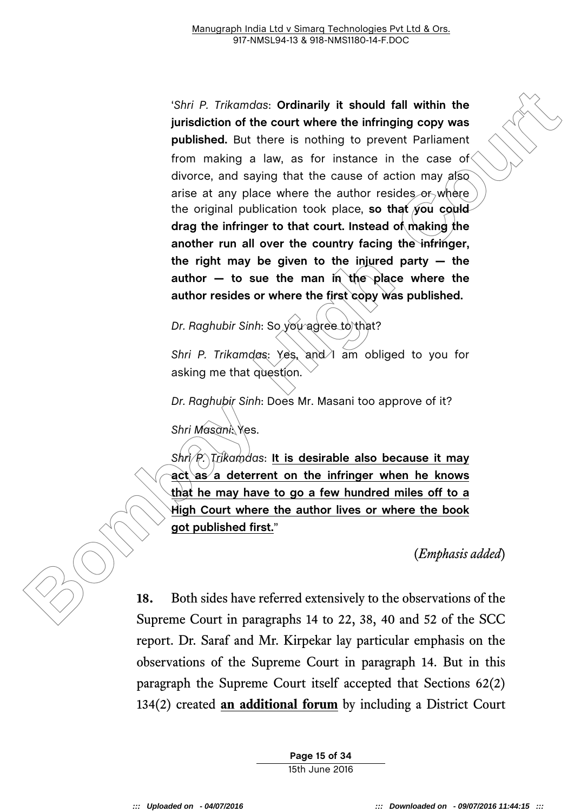**Both P. Trikomdos: Critinarily it should fall within the pindication of the court where the infrining copy was published. But there is nothing to prevent Parilament from making a law, as for instance in the case of cho** '*Shri P. Trikamdas*: **Ordinarily it should fall within the jurisdiction of the court where the infringing copy was published.** But there is nothing to prevent Parliament from making a law, as for instance in the case of divorce, and saying that the cause of action may also arise at any place where the author resides or where the original publication took place, **so that you could drag the infringer to that court. Instead of making the another run all over the country facing the infringer, the right may be given to the injured party — the author — to sue the man in the place where the author resides or where the first copy was published.**

*Dr. Raghubir Sinh: So you agree to that?* 

*Shri P. Trikamdas: Yes, and I am obliged to you for* asking me that question.

*Dr. Raghubir Sinh*: Does Mr. Masani too approve of it?

*Shri Masani*: Yes.

*Shri P. Trikamdas*: **It is desirable also because it may act as a deterrent on the infringer when he knows that he may have to go a few hundred miles off to a High Court where the author lives or where the book got published first.**"

(*Emphasis added*)

**18.** Both sides have referred extensively to the observations of the Supreme Court in paragraphs 14 to 22, 38, 40 and 52 of the SCC report. Dr. Saraf and Mr. Kirpekar lay particular emphasis on the observations of the Supreme Court in paragraph 14. But in this paragraph the Supreme Court itself accepted that Sections 62(2) 134(2) created **an additional forum** by including a District Court

> **Page 15 of 34** 15th June 2016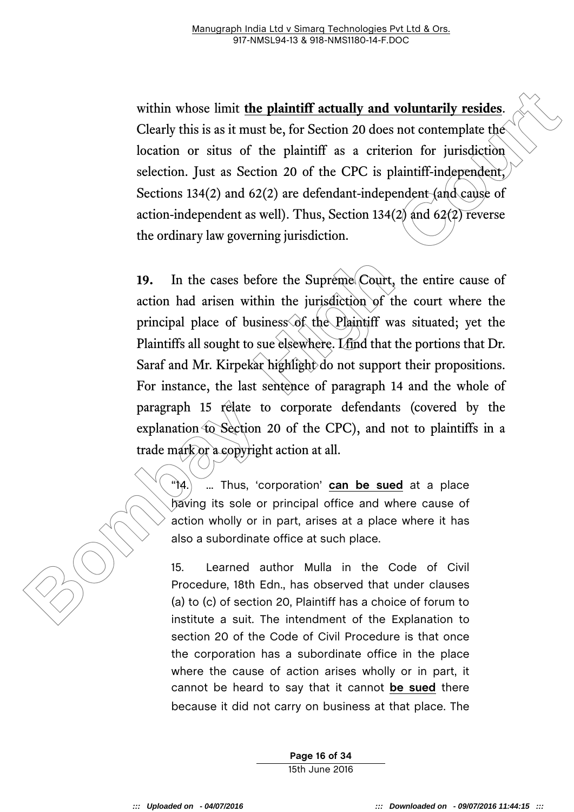within whose limit **the plaintiff actually and voluntarily resides**. Clearly this is as it must be, for Section 20 does not contemplate the location or situs of the plaintiff as a criterion for jurisdiction selection. Just as Section 20 of the CPC is plaintiff-independent, Sections 134(2) and 62(2) are defendant-independent (and cause of action-independent as well). Thus, Section 134(2) and 62(2) reverse the ordinary law governing jurisdiction.

within whose limit the plaintiff actually and voluntarily resides.<br>Clearly this is as it must be, for Section 20 does not contemplate the<br>location or situs of the plaintiff as a criterion for jurisdiction<br>selection. Just 19. In the cases before the Supreme Court, the entire cause of action had arisen within the jurisdiction of the court where the principal place of business of the Plaintiff was situated; yet the Plaintiffs all sought to sue elsewhere. I find that the portions that Dr. Saraf and Mr. Kirpekar highlight do not support their propositions. For instance, the last sentence of paragraph 14 and the whole of paragraph 15 relate to corporate defendants (covered by the explanation to Section 20 of the CPC), and not to plaintiffs in a trade mark or a copyright action at all.

"14.) ... Thus, 'corporation' can be sued at a place having its sole or principal office and where cause of action wholly or in part, arises at a place where it has also a subordinate office at such place.

15. Learned author Mulla in the Code of Civil Procedure, 18th Edn., has observed that under clauses (a) to (c) of section 20, Plaintiff has a choice of forum to institute a suit. The intendment of the Explanation to section 20 of the Code of Civil Procedure is that once the corporation has a subordinate office in the place where the cause of action arises wholly or in part, it cannot be heard to say that it cannot **be sued** there because it did not carry on business at that place. The

> **Page 16 of 34** 15th June 2016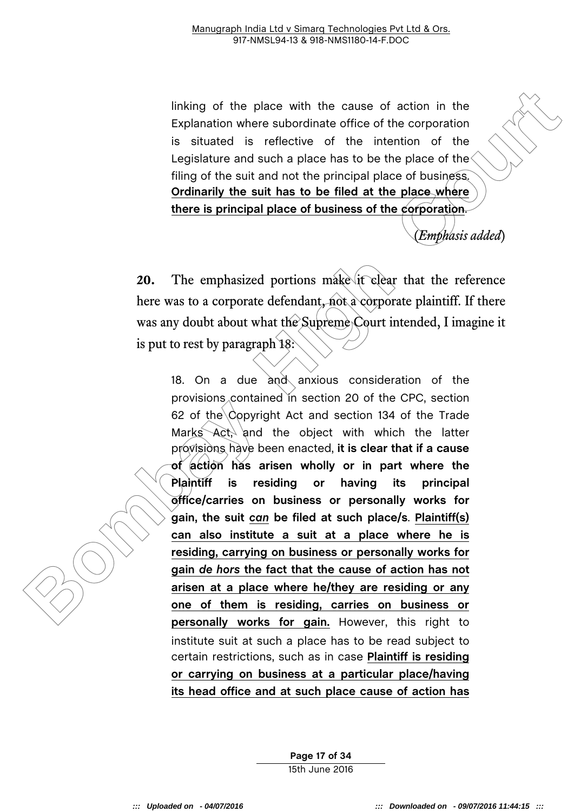linking of the place with the cause of action in the Explanation where subordinate office of the corporation is situated is reflective of the intention of the Legislature and such a place has to be the place of the filing of the suit and not the principal place of business. **Ordinarily the suit has to be filed at the place where there is principal place of business of the corporation**.

(*Emphasis added*)

**20.** The emphasized portions make it clear that the reference here was to a corporate defendant, not a corporate plaintiff. If there was any doubt about what the Supreme Court intended, I imagine it is put to rest by paragraph 18:

If include the place with the cause of action in the Explanation where substrated is reflected of the internation of the internation of the substrated is reflected of the internation of the substrated is reflected and one 18. On a due  $\partial \phi$  anxious consideration of the provisions contained in section 20 of the CPC, section 62 of the Copyright Act and section 134 of the Trade Marks Act, and the object with which the latter provisions have been enacted, **it is clear that if a cause of action has arisen wholly or in part where the Plaintiff is residing or having its principal office/carries on business or personally works for gain, the suit** *can* **be filed at such place/s**. **Plaintiff(s) can also institute a suit at a place where he is residing, carrying on business or personally works for gain** *de hors* **the fact that the cause of action has not arisen at a place where he/they are residing or any one of them is residing, carries on business or personally works for gain.** However, this right to institute suit at such a place has to be read subject to certain restrictions, such as in case **Plaintiff is residing or carrying on business at a particular place/having its head office and at such place cause of action has** 

> **Page 17 of 34** 15th June 2016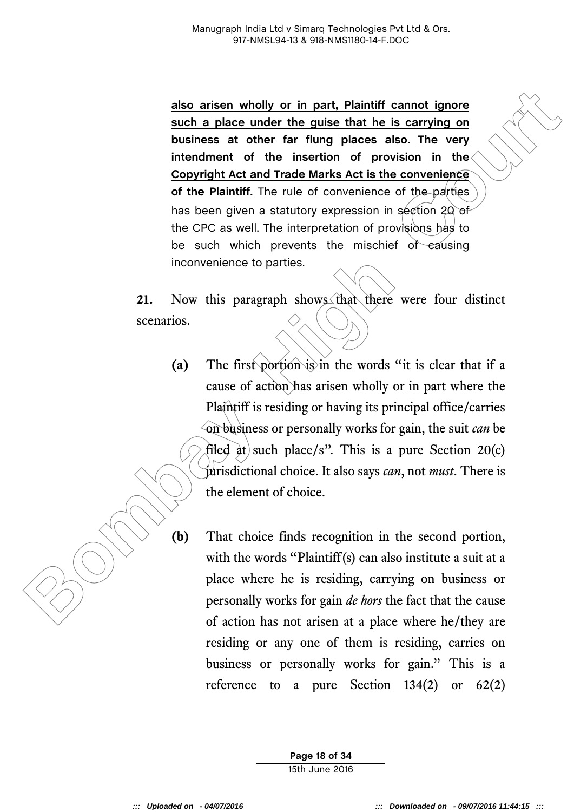**Box arisen wholly or in part, Plaintiff cannot ignore**<br> **Bourhage and on the guide that he is carrying on**<br> **Business at other far flung places also. The very**<br> **Business at other far flung places also. The very**<br> **Bouris also arisen wholly or in part, Plaintiff cannot ignore such a place under the guise that he is carrying on business at other far flung places also. The very intendment of the insertion of provision in the Copyright Act and Trade Marks Act is the convenience of the Plaintiff.** The rule of convenience of the parties has been given a statutory expression in section 20 of the CPC as well. The interpretation of provisions has to be such which prevents the mischief of causing inconvenience to parties.

**21.** Now this paragraph shows that there were four distinct scenarios.

- **(a)** The first portion is in the words "it is clear that if a cause of action has arisen wholly or in part where the Plaintiff is residing or having its principal office/carries on business or personally works for gain, the suit *can* be filed at such place/s". This is a pure Section 20(c) jurisdictional choice. It also says *can*, not *must*. There is the element of choice.
- **(b)** That choice finds recognition in the second portion, with the words "Plaintiff(s) can also institute a suit at a place where he is residing, carrying on business or personally works for gain *de hors* the fact that the cause of action has not arisen at a place where he/they are residing or any one of them is residing, carries on business or personally works for gain." This is a reference to a pure Section  $134(2)$  or  $62(2)$

**Page 18 of 34** 15th June 2016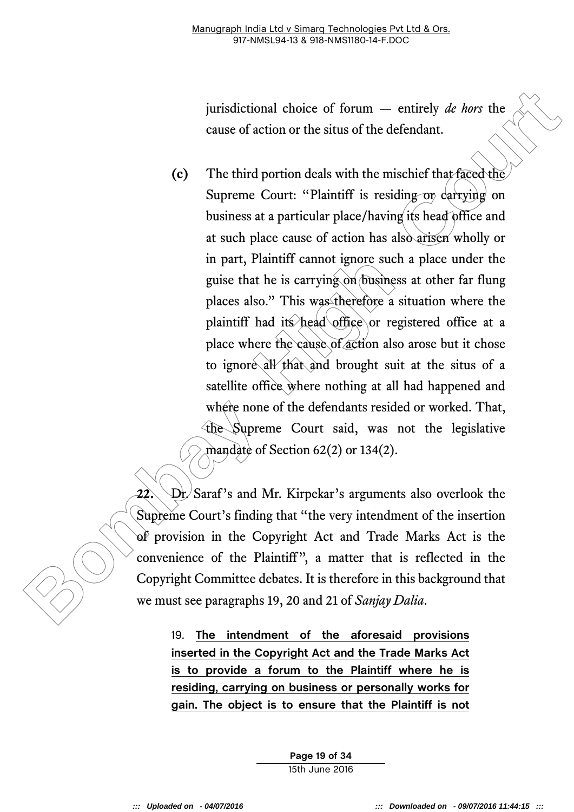jurisdictional choice of forum — entirely *de hors* the cause of action or the situs of the defendant.

jurisdictional choice of forum — emirely *de hors* the cause of action or the situs of the defendant.<br> **Co** The third portion deals with the mischief that faced the Superme Court: "Plaintiff is residing by derivation on b **(c)** The third portion deals with the mischief that faced the Supreme Court: "Plaintiff is residing or carrying on business at a particular place/having its head office and at such place cause of action has also arisen wholly or in part, Plaintiff cannot ignore such a place under the guise that he is carrying on business at other far flung places also." This was therefore a situation where the plaintiff had its head office or registered office at a place where the cause of action also arose but it chose to ignore all that and brought suit at the situs of a satellite office where nothing at all had happened and where none of the defendants resided or worked. That, the Supreme Court said, was not the legislative mandate of Section 62(2) or 134(2).

**22.** Dr. Saraf's and Mr. Kirpekar's arguments also overlook the Supreme Court's finding that "the very intendment of the insertion of provision in the Copyright Act and Trade Marks Act is the convenience of the Plaintiff" , a matter that is reflected in the Copyright Committee debates. It is therefore in this background that we must see paragraphs 19, 20 and 21 of *Sanjay Dalia*.

19. **The intendment of the aforesaid provisions inserted in the Copyright Act and the Trade Marks Act is to provide a forum to the Plaintiff where he is residing, carrying on business or personally works for gain. The object is to ensure that the Plaintiff is not** 

> **Page 19 of 34** 15th June 2016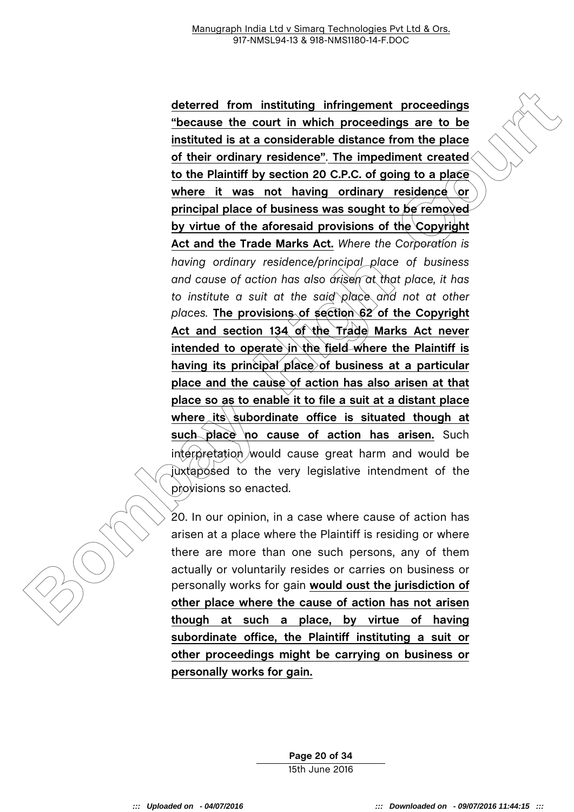deterred from instituting infringement proceedings<br>
Theseasse the court in which proceedings or to be<br>
instituted is at a considerable distance from the place<br>
of their ordinary residence." The impediment created<br>
to the H **deterred from instituting infringement proceedings "because the court in which proceedings are to be instituted is at a considerable distance from the place of their ordinary residence"**. **The impediment created to the Plaintiff by section 20 C.P.C. of going to a place where it was not having ordinary residence or principal place of business was sought to be removed by virtue of the aforesaid provisions of the Copyright Act and the Trade Marks Act.** *Where the Corporation is having ordinary residence/principal place of business and cause of action has also arisen at that place, it has to institute a suit at the said place and not at other places.* **The provisions of section 62 of the Copyright Act and section 134 of the Trade Marks Act never intended to operate in the field where the Plaintiff is having its principal place of business at a particular place and the cause of action has also arisen at that place so as to enable it to file a suit at a distant place where its subordinate office is situated though at such place no cause of action has arisen.** Such interpretation would cause great harm and would be juxtaposed to the very legislative intendment of the provisions so enacted.

20. In our opinion, in a case where cause of action has arisen at a place where the Plaintiff is residing or where there are more than one such persons, any of them actually or voluntarily resides or carries on business or personally works for gain **would oust the jurisdiction of other place where the cause of action has not arisen though at such a place, by virtue of having subordinate office, the Plaintiff instituting a suit or other proceedings might be carrying on business or personally works for gain.**

> **Page 20 of 34** 15th June 2016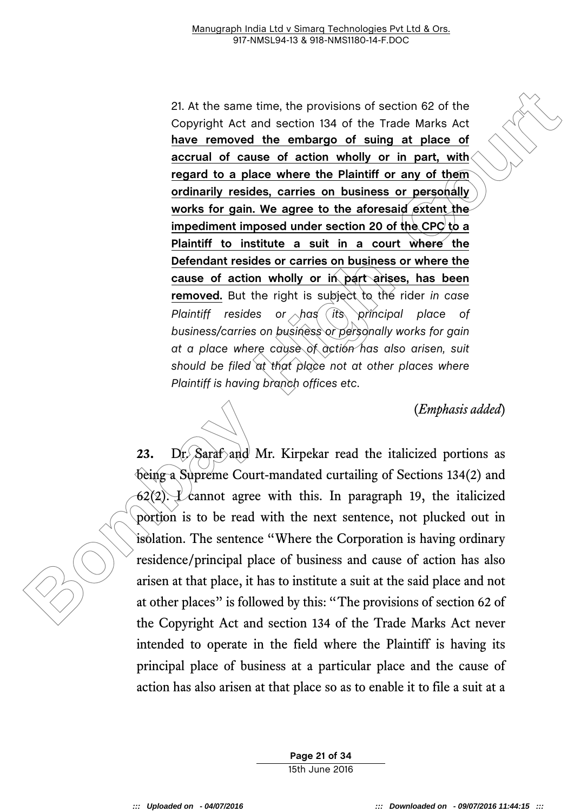21. At the same time, the provisions of section 82 of the<br>
Copyright Act and section 134 of the Trade Mark Act<br>
have removed the embargo of suing at place of<br>
accrual of cause of action wholly or in part, with<br>
regard to 21. At the same time, the provisions of section 62 of the Copyright Act and section 134 of the Trade Marks Act **have removed the embargo of suing at place of accrual of cause of action wholly or in part, with regard to a place where the Plaintiff or any of them ordinarily resides, carries on business or personally works for gain. We agree to the aforesaid extent the impediment imposed under section 20 of the CPC to a Plaintiff to institute a suit in a court where the Defendant resides or carries on business or where the cause of action wholly or in part arises, has been removed.** But the right is subject to the rider *in case Plaintiff resides or has its principal place of business/carries on business or personally works for gain at a place where cause of action has also arisen, suit should be filed at that place not at other places where Plaintiff is having branch offices etc*.

(*Emphasis added*)

23. Dr. Saraf and Mr. Kirpekar read the italicized portions as being a Supreme Court-mandated curtailing of Sections 134(2) and 62(2). L cannot agree with this. In paragraph 19, the italicized portion is to be read with the next sentence, not plucked out in isolation. The sentence "Where the Corporation is having ordinary residence/principal place of business and cause of action has also arisen at that place, it has to institute a suit at the said place and not at other places" is followed by this: "The provisions of section 62 of the Copyright Act and section 134 of the Trade Marks Act never intended to operate in the field where the Plaintiff is having its principal place of business at a particular place and the cause of action has also arisen at that place so as to enable it to file a suit at a

> **Page 21 of 34** 15th June 2016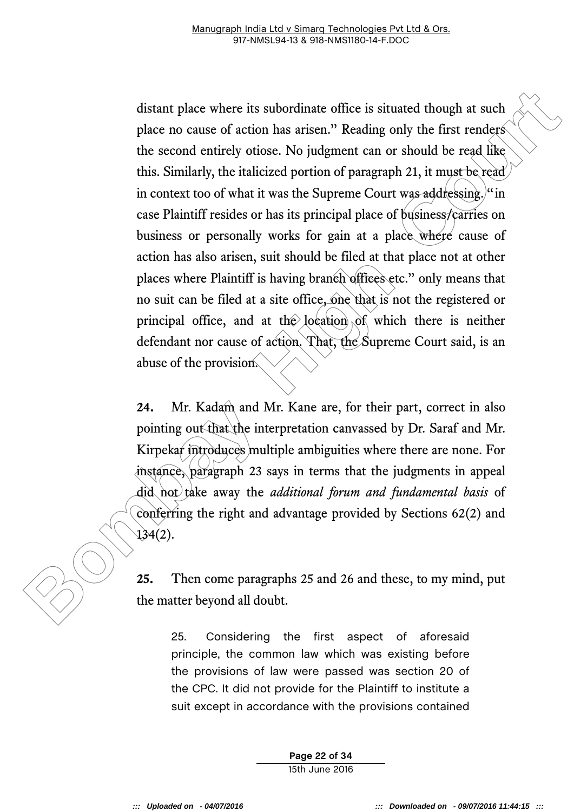distant place where its subordinate office is situated though at such<br>place no cause of action has arisen." Reading only the first renders<br>the scoond entirely otiose. No judgment can or should be read like<br>this. Similarly distant place where its subordinate office is situated though at such place no cause of action has arisen." Reading only the first renders the second entirely otiose. No judgment can or should be read like this. Similarly, the italicized portion of paragraph 21, it must be read in context too of what it was the Supreme Court was addressing. "in case Plaintiff resides or has its principal place of business/carries on business or personally works for gain at a place where cause of action has also arisen, suit should be filed at that place not at other places where Plaintiff is having branch offices etc." only means that no suit can be filed at a site office, one that is not the registered or principal office, and at the location of which there is neither defendant nor cause of action. That, the Supreme Court said, is an abuse of the provision.

**24.** Mr. Kadam and Mr. Kane are, for their part, correct in also pointing out that the interpretation canvassed by Dr. Saraf and Mr. Kirpekar introduces multiple ambiguities where there are none. For instance, paragraph 23 says in terms that the judgments in appeal did not take away the *additional forum and fundamental basis* of conferring the right and advantage provided by Sections 62(2) and 134(2).

**25.** Then come paragraphs 25 and 26 and these, to my mind, put the matter beyond all doubt.

25. Considering the first aspect of aforesaid principle, the common law which was existing before the provisions of law were passed was section 20 of the CPC. It did not provide for the Plaintiff to institute a suit except in accordance with the provisions contained

> **Page 22 of 34** 15th June 2016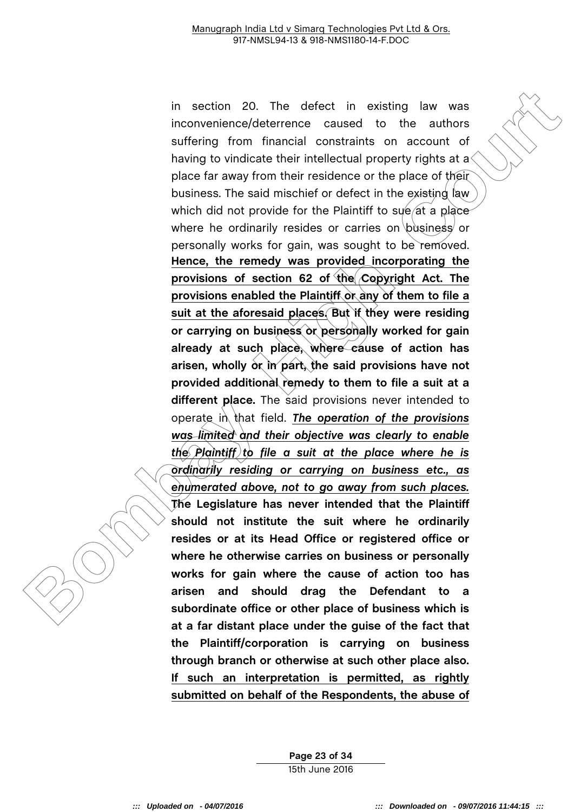in section 20. The defect in existing law was<br>inconvenience/deference caused to the authors<br>sufficing from financial constantins on account of<br>sufficing from financial constantins on account of<br>having to vindicate their in in section 20. The defect in existing law was inconvenience/deterrence caused to the authors suffering from financial constraints on account of having to vindicate their intellectual property rights at a place far away from their residence or the place of their business. The said mischief or defect in the existing law which did not provide for the Plaintiff to sue at a place where he ordinarily resides or carries on business or personally works for gain, was sought to be removed. **Hence, the remedy was provided incorporating the provisions of section 62 of the Copyright Act. The provisions enabled the Plaintiff or any of them to file a suit at the aforesaid places. But if they were residing or carrying on business or personally worked for gain already at such place, where cause of action has arisen, wholly or in part, the said provisions have not provided additional remedy to them to file a suit at a different place.** The said provisions never intended to operate in that field. *The operation of the provisions was limited and their objective was clearly to enable the Plaintiff to file a suit at the place where he is ordinarily residing or carrying on business etc., as enumerated above, not to go away from such places.* **The Legislature has never intended that the Plaintiff should not institute the suit where he ordinarily resides or at its Head Office or registered office or where he otherwise carries on business or personally works for gain where the cause of action too has arisen and should drag the Defendant to a subordinate office or other place of business which is at a far distant place under the guise of the fact that the Plaintiff/corporation is carrying on business through branch or otherwise at such other place also. If such an interpretation is permitted, as rightly submitted on behalf of the Respondents, the abuse of** 

> **Page 23 of 34** 15th June 2016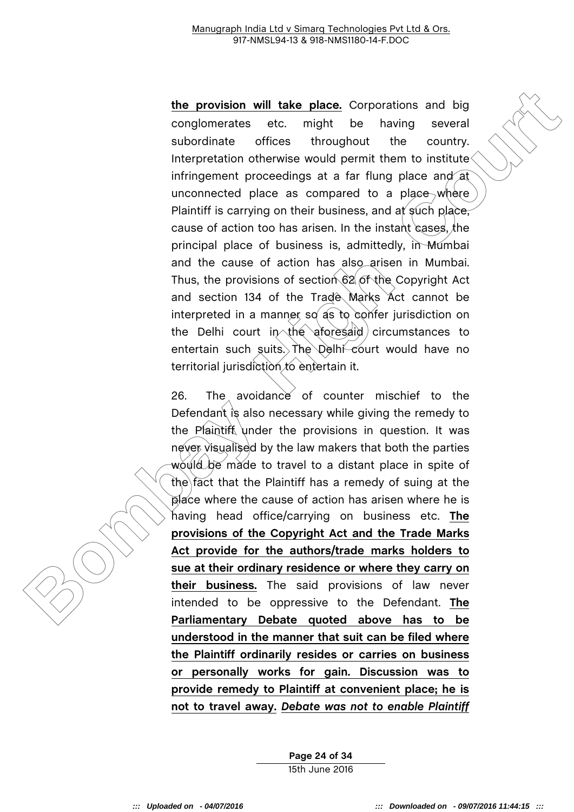**Box and the provision will take place.** Corporations and big<br>conglomerates etc. might be having several<br>subordinate offices throughout the courtry,<br>interpretation otherwise would permit them to institute<br>immigrement proce **the provision will take place.** Corporations and big conglomerates etc. might be having several subordinate offices throughout the country. Interpretation otherwise would permit them to institute infringement proceedings at a far flung place and at unconnected place as compared to a place where Plaintiff is carrying on their business, and at such place, cause of action too has arisen. In the instant cases, the principal place of business is, admittedly, in Mumbai and the cause of action has also arisen in Mumbai. Thus, the provisions of section 62 of the Copyright Act and section 134 of the Trade Marks Act cannot be interpreted in a manner so as to confer jurisdiction on the Delhi court  $in \ \mathbb{R}$  aforesaid circumstances to entertain such suits. The Delhi-court would have no territorial jurisdiction to entertain it.

26. The avoidance of counter mischief to the Defendant is also necessary while giving the remedy to the Plaintiff under the provisions in question. It was never visualised by the law makers that both the parties would be made to travel to a distant place in spite of the fact that the Plaintiff has a remedy of suing at the place where the cause of action has arisen where he is having head office/carrying on business etc. **The provisions of the Copyright Act and the Trade Marks Act provide for the authors/trade marks holders to sue at their ordinary residence or where they carry on their business.** The said provisions of law never intended to be oppressive to the Defendant. **The Parliamentary Debate quoted above has to be understood in the manner that suit can be filed where the Plaintiff ordinarily resides or carries on business or personally works for gain. Discussion was to provide remedy to Plaintiff at convenient place; he is not to travel away.** *Debate was not to enable Plaintiff*

> **Page 24 of 34** 15th June 2016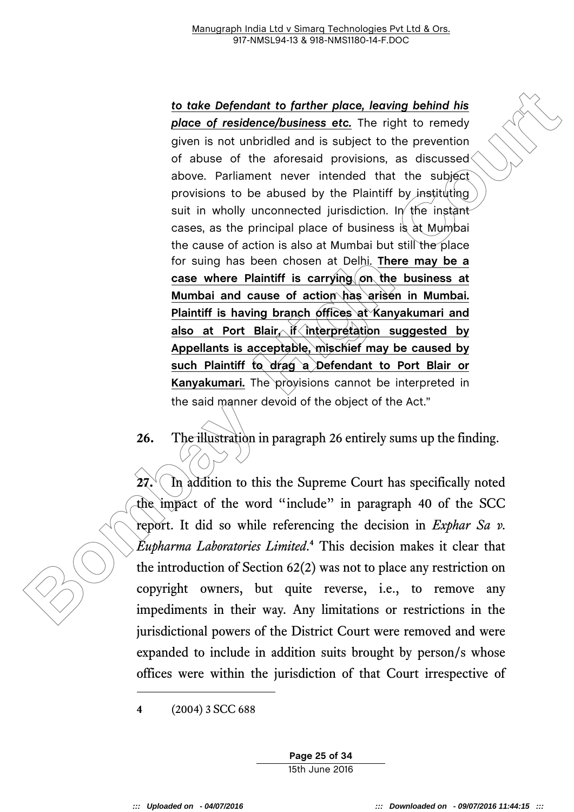**Example 12 Box and the control of the court of the stationary control of the set of restriction of densised and is a subject to the preventive control of the set of the actionary provisions as discussed above. Parliame** *to take Defendant to farther place, leaving behind his place of residence/business etc.* The right to remedy given is not unbridled and is subject to the prevention of abuse of the aforesaid provisions, as discussed above. Parliament never intended that the subject provisions to be abused by the Plaintiff by instituting suit in wholly unconnected jurisdiction. In the instant cases, as the principal place of business is at Mumbai the cause of action is also at Mumbai but still the place for suing has been chosen at Delhi. **There may be a case where Plaintiff is carrying on the business at Mumbai and cause of action has arisen in Mumbai. Plaintiff is having branch offices at Kanyakumari and also at Port Blair, if interpretation suggested by Appellants is acceptable, mischief may be caused by such Plaintiff to drag a Defendant to Port Blair or**  Kanyakumari. The provisions cannot be interpreted in the said manner devoid of the object of the Act."

**26.** The illustration in paragraph 26 entirely sums up the finding.

 $27.$  In addition to this the Supreme Court has specifically noted the impact of the word "include" in paragraph 40 of the SCC report. It did so while referencing the decision in *Exphar Sa v. Eupharma Laboratories Limited*. **<sup>4</sup>** This decision makes it clear that the introduction of Section 62(2) was not to place any restriction on copyright owners, but quite reverse, i.e., to remove any impediments in their way. Any limitations or restrictions in the jurisdictional powers of the District Court were removed and were expanded to include in addition suits brought by person/s whose offices were within the jurisdiction of that Court irrespective of

-

**Page 25 of 34** 15th June 2016

**<sup>4</sup>** (2004) 3 SCC 688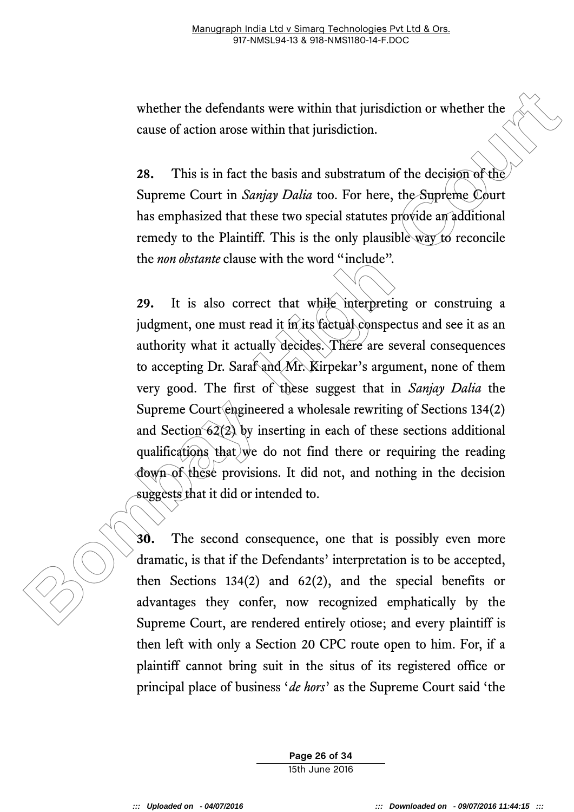whether the defendants were within that jurisdiction or whether the cause of action arose within that jurisdiction.

**28.** This is in fact the basis and substratum of the decision of the Supreme Court in *Sanjay Dalia* too. For here, the Supreme Court has emphasized that these two special statutes provide an additional remedy to the Plaintiff. This is the only plausible way to reconcile the *non obstante* clause with the word "include".

whether the defendants were within that jurisdiction or whether the<br>cause of action arose within that jurisdiction.<br> **28.** This is in fact the basis and substratum of the decision of the<br>Supreme Court in Sanjay Dalia too. **29.** It is also correct that while interpreting or construing a judgment, one must read it in its factual conspectus and see it as an authority what it actually decides. There are several consequences to accepting Dr. Saraf and Mr. Kirpekar's argument, none of them very good. The first of these suggest that in *Sanjay Dalia* the Supreme Court engineered a wholesale rewriting of Sections 134(2) and Section  $62(2)$  by inserting in each of these sections additional qualifications that we do not find there or requiring the reading down of these provisions. It did not, and nothing in the decision suggests that it did or intended to.

**30.** The second consequence, one that is possibly even more dramatic, is that if the Defendants' interpretation is to be accepted, then Sections 134(2) and 62(2), and the special benefits or advantages they confer, now recognized emphatically by the Supreme Court, are rendered entirely otiose; and every plaintiff is then left with only a Section 20 CPC route open to him. For, if a plaintiff cannot bring suit in the situs of its registered office or principal place of business '*de hors*' as the Supreme Court said 'the

> **Page 26 of 34** 15th June 2016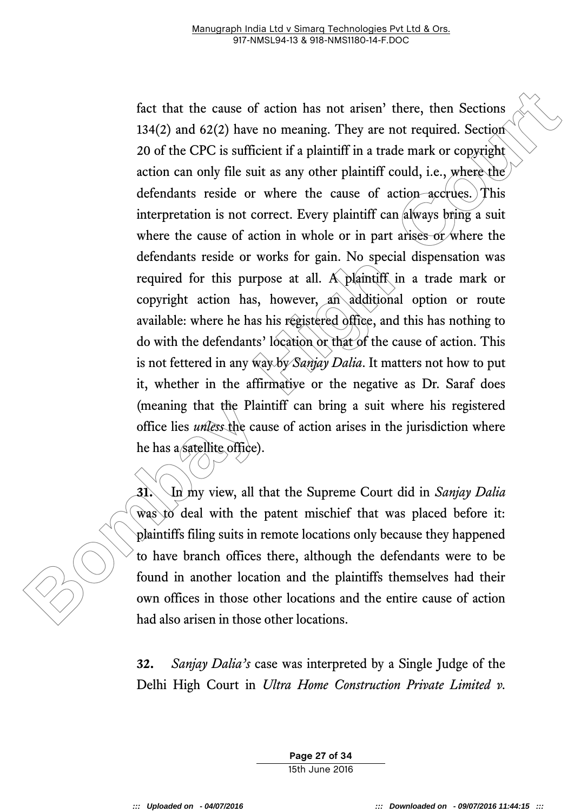fact that the cause of action has not arisen't there, then Section<br>134(2) and 62(2) have no meaning. They are not required. Section<br>20 of the CPC is sufficient if a plaintiff in a trade mark or copyright<br>action can only f fact that the cause of action has not arisen' there, then Sections 134(2) and 62(2) have no meaning. They are not required. Section 20 of the CPC is sufficient if a plaintiff in a trade mark or copyright action can only file suit as any other plaintiff could, i.e., where the defendants reside or where the cause of action accrues. This interpretation is not correct. Every plaintiff  $can$  always bring a suit where the cause of action in whole or in part arises or where the defendants reside or works for gain. No special dispensation was required for this purpose at all. A plaintiff in a trade mark or copyright action has, however, an additional option or route available: where he has his registered office, and this has nothing to do with the defendants' location or that of the cause of action. This is not fettered in any way by *Sanjay Dalia*. It matters not how to put it, whether in the affirmative or the negative as Dr. Saraf does (meaning that the Plaintiff can bring a suit where his registered office lies *unless* the cause of action arises in the jurisdiction where he has a satellite office).

**31.** In my view, all that the Supreme Court did in *Sanjay Dalia* was to deal with the patent mischief that was placed before it: plaintiffs filing suits in remote locations only because they happened to have branch offices there, although the defendants were to be found in another location and the plaintiffs themselves had their own offices in those other locations and the entire cause of action had also arisen in those other locations.

**32.** *Sanjay Dalia's* case was interpreted by a Single Judge of the Delhi High Court in *Ultra Home Construction Private Limited v.* 

> **Page 27 of 34** 15th June 2016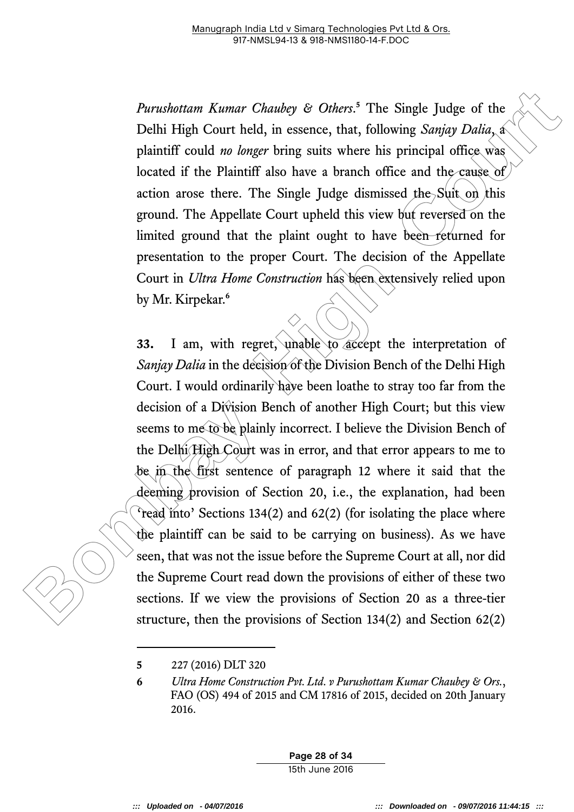*Purushottam Kumar Chaubey & Others*. **<sup>5</sup>** The Single Judge of the Delhi High Court held, in essence, that, following *Sanjay Dalia*, a plaintiff could *no longer* bring suits where his principal office was located if the Plaintiff also have a branch office and the cause of action arose there. The Single Judge dismissed the Suit on this ground. The Appellate Court upheld this view but reversed on the limited ground that the plaint ought to have been returned for presentation to the proper Court. The decision of the Appellate Court in *Ultra Home Construction* has been extensively relied upon by Mr. Kirpekar.**<sup>6</sup>**

*Purnshottam Kumar Chautey & Others*.<sup>5</sup> The Single Judge of the Delhi High Court held, in essence, that, following *Samjay Dalia,* a plaintiff could *ne longer* bring suits where his principal office was located if the **33.** I am, with regret, unable to accept the interpretation of *Sanjay Dalia* in the decision of the Division Bench of the Delhi High Court. I would ordinarily have been loathe to stray too far from the decision of a Division Bench of another High Court; but this view seems to me to be plainly incorrect. I believe the Division Bench of the Delhi High Court was in error, and that error appears to me to be in the first sentence of paragraph 12 where it said that the deeming provision of Section 20, i.e., the explanation, had been 'read into' Sections 134(2) and 62(2) (for isolating the place where the plaintiff can be said to be carrying on business). As we have seen, that was not the issue before the Supreme Court at all, nor did the Supreme Court read down the provisions of either of these two sections. If we view the provisions of Section 20 as a three-tier structure, then the provisions of Section 134(2) and Section 62(2)

-

**Page 28 of 34** 15th June 2016

**<sup>5</sup>** 227 (2016) DLT 320

**<sup>6</sup>** *Ultra Home Construction Pvt. Ltd. v Purushottam Kumar Chaubey & Ors.*, FAO (OS) 494 of 2015 and CM 17816 of 2015, decided on 20th January 2016.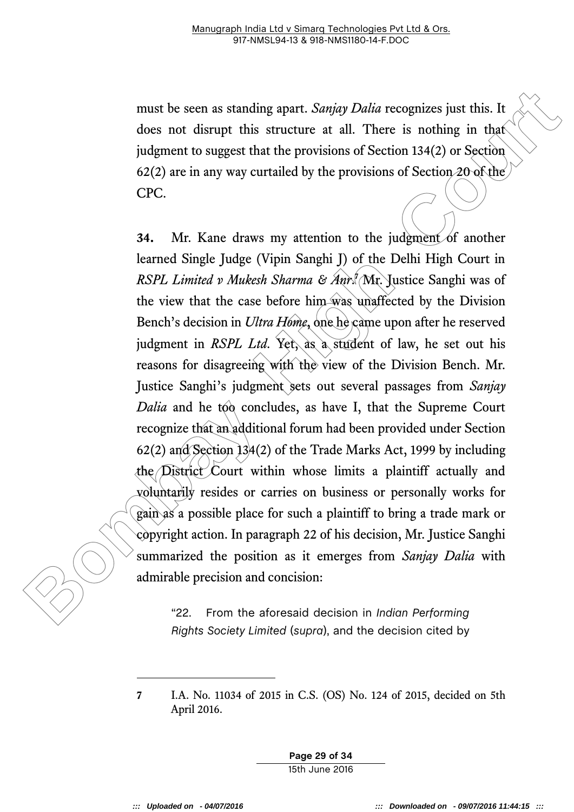must be seen as standing apart. *Sanjay Dalia* recognizes just this. It does not disrupt this structure at all. There is nothing in that judgment to suggest that the provisions of Section 134(2) or Section 62(2) are in any way curtailed by the provisions of Section  $20$  of the CPC.

must be seen as standing apart. *Sanigy Dalia* recognizes just this. It<br>does not disrupt this structure at all. There is nothing in that<br>judgment to suggest that the provisions of Section 134(2) or Section<br>62(2) are in an **34.** Mr. Kane draws my attention to the judgment of another learned Single Judge (Vipin Sanghi J) of the Delhi High Court in *RSPL Limited v Mukesh Sharma & Anr*. **<sup>7</sup>** Mr. Justice Sanghi was of the view that the case before him was unaffected by the Division Bench's decision in *Ultra Home*, one he came upon after he reserved judgment in *RSPL Ltd*. Yet, as a student of law, he set out his reasons for disagreeing with the view of the Division Bench. Mr. Justice Sanghi's judgment sets out several passages from *Sanjay Dalia* and he too concludes, as have I, that the Supreme Court recognize that an additional forum had been provided under Section 62(2) and Section 134(2) of the Trade Marks Act, 1999 by including the District Court within whose limits a plaintiff actually and voluntarily resides or carries on business or personally works for gain as a possible place for such a plaintiff to bring a trade mark or copyright action. In paragraph 22 of his decision, Mr. Justice Sanghi summarized the position as it emerges from *Sanjay Dalia* with admirable precision and concision:

"22. From the aforesaid decision in *Indian Performing Rights Society Limited* (*supra*), and the decision cited by

**Page 29 of 34** 15th June 2016

-

**<sup>7</sup>** I.A. No. 11034 of 2015 in C.S. (OS) No. 124 of 2015, decided on 5th April 2016.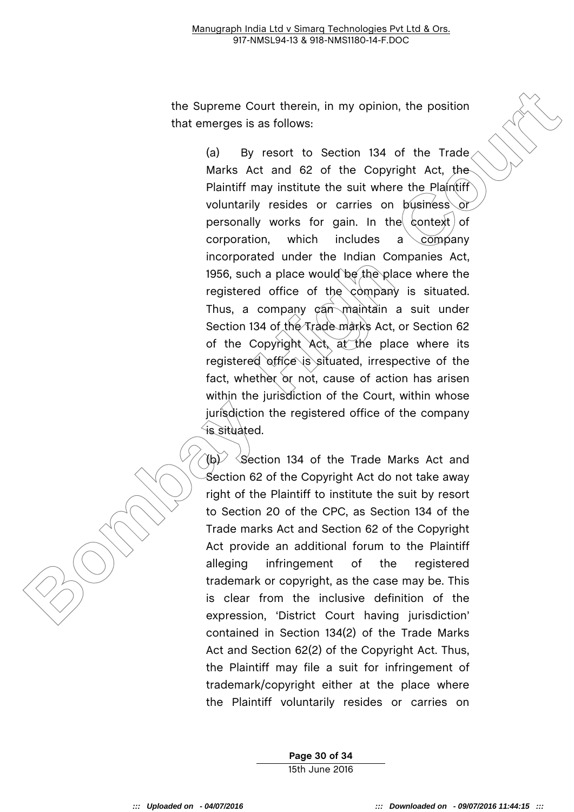the Supreme Court therein, in my opinion, the position that emerges is as follows:

the supreme Court therein, in my opinion, the position<br>that emerges is as follows:<br>(a) By resort to Section 134 of the Trade<br>Maks Act and 82 of the Gopyright Act, the<br>Makrs Act and 82 of the Gopyright Act, the<br>Makrs Act an (a) By resort to Section 134 of the Trade Marks Act and 62 of the Copyright Act, the Plaintiff may institute the suit where the Plaintiff voluntarily resides or carries on business or personally works for gain. In the context of corporation, which includes a company incorporated under the Indian Companies Act, 1956, such a place would be the place where the registered office of the company is situated. Thus, a company  $\mathfrak{c}$ an maintain a suit under Section 134 of the Trade marks Act, or Section 62 of the Copyright Act, at the place where its registered office is situated, irrespective of the fact, whether or not, cause of action has arisen within the jurisdiction of the Court, within whose jurisdiction the registered office of the company is situated.

 $\hat{f}$ (b)  $\hat{f}$  Section 134 of the Trade Marks Act and Section 62 of the Copyright Act do not take away right of the Plaintiff to institute the suit by resort to Section 20 of the CPC, as Section 134 of the Trade marks Act and Section 62 of the Copyright Act provide an additional forum to the Plaintiff alleging infringement of the registered trademark or copyright, as the case may be. This is clear from the inclusive definition of the expression, 'District Court having jurisdiction' contained in Section 134(2) of the Trade Marks Act and Section 62(2) of the Copyright Act. Thus, the Plaintiff may file a suit for infringement of trademark/copyright either at the place where the Plaintiff voluntarily resides or carries on

> **Page 30 of 34** 15th June 2016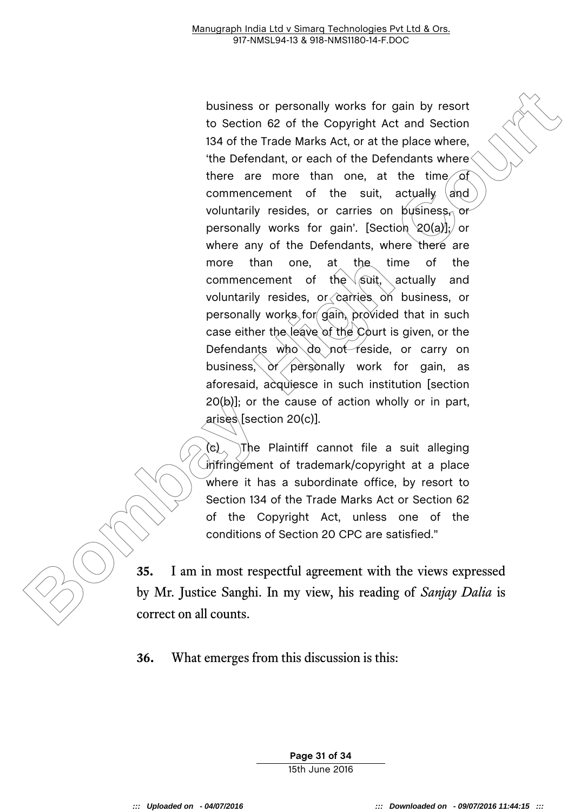business or personally works for gain by resort<br>to Section 62 of the Copyright Act and Section<br>134 of the Trade Marks Act, or at the place where.<br>The Defendant, or each of the Defendants where<br>there are more than one, at t business or personally works for gain by resort to Section 62 of the Copyright Act and Section 134 of the Trade Marks Act, or at the place where, 'the Defendant, or each of the Defendants where there are more than one, at the time of commencement of the suit, actually  $|a|$ voluntarily resides, or carries on business, or personally works for gain'. [Section  $20(a)$ ]; or where any of the Defendants, where there are more than one, at the time of the commencement of the  $\sqrt{\text{suit}}$ , actually and voluntarily resides, or  $\Diamond$  arries on business, or personally works for gain, provided that in such case either the leave of the Court is given, or the Defendants who do not reside, or carry on business,  $or/$  personally work for gain, as aforesaid, acquiesce in such institution [section 20(b)]; or the cause of action wholly or in part, arises [section 20(c)].

(c) The Plaintiff cannot file a suit alleging infringement of trademark/copyright at a place where it has a subordinate office, by resort to Section 134 of the Trade Marks Act or Section 62 of the Copyright Act, unless one of the conditions of Section 20 CPC are satisfied."

**35.** I am in most respectful agreement with the views expressed by Mr. Justice Sanghi. In my view, his reading of *Sanjay Dalia* is correct on all counts.

**36.** What emerges from this discussion is this:

**Page 31 of 34** 15th June 2016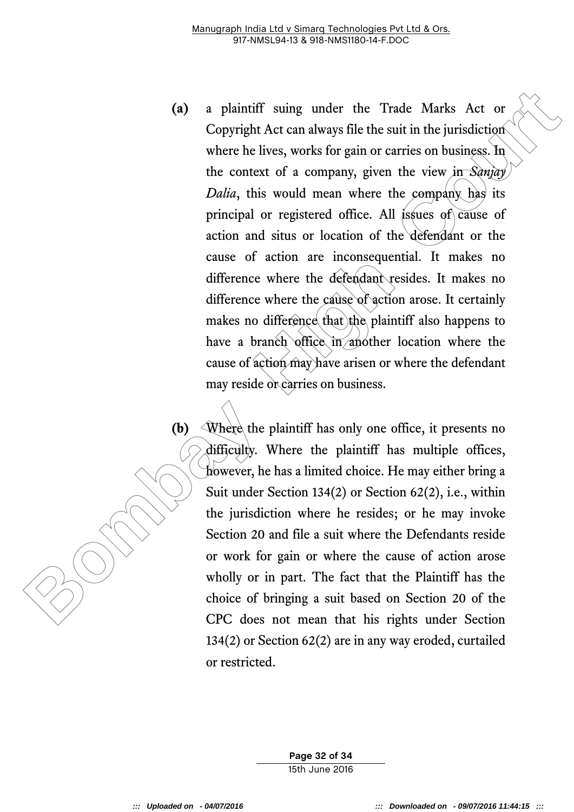- (a) a plaintiff suing under the Trade Marks Act or<br>Copyright Act can always file the suit in the jurisdiction<br>where he lives, works for gain or carries on business. In<br>the context of a company, given the view  $\frac{1}{3}$   $\$ **(a)** a plaintiff suing under the Trade Marks Act or Copyright Act can always file the suit in the jurisdiction where he lives, works for gain or carries on business. In the context of a company, given the view in *Sanjay Dalia*, this would mean where the company has its principal or registered office. All issues of cause of action and situs or location of the defendant or the cause of action are inconsequential. It makes no difference where the defendant resides. It makes no difference where the cause of action arose. It certainly makes no difference that the plaintiff also happens to have a branch office in another location where the cause of action may have arisen or where the defendant may reside or carries on business.
	- **(b)** Where the plaintiff has only one office, it presents no difficulty. Where the plaintiff has multiple offices, however, he has a limited choice. He may either bring a Suit under Section 134(2) or Section 62(2), i.e., within the jurisdiction where he resides; or he may invoke Section 20 and file a suit where the Defendants reside or work for gain or where the cause of action arose wholly or in part. The fact that the Plaintiff has the choice of bringing a suit based on Section 20 of the CPC does not mean that his rights under Section 134(2) or Section 62(2) are in any way eroded, curtailed or restricted.

**Page 32 of 34** 15th June 2016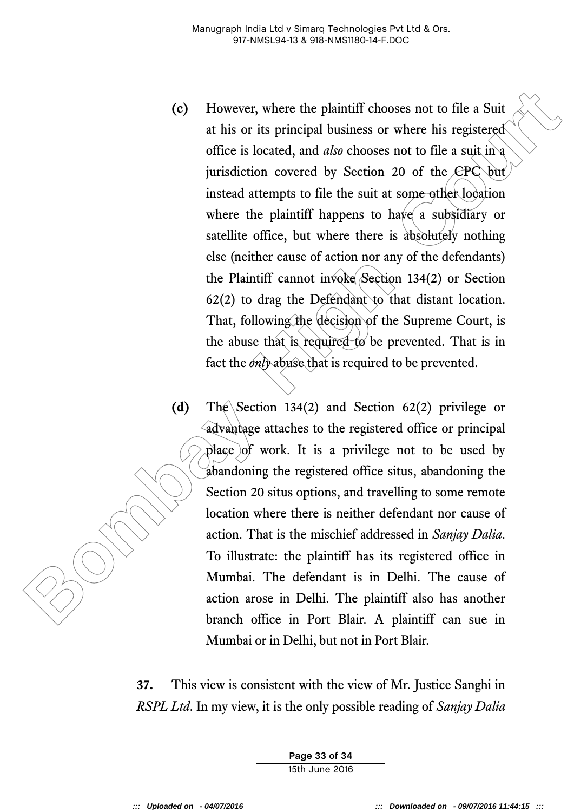- **Example 18**<br> **Example 18**<br> **Bow The Solution Scale Scale Scale Scale Scale Scale Scale Scale Scale Scale Scale Scale Scale Scale Scale Scale Scale Scale Scale Scale Scale Scale Scale Scale Scale Scale Scale Scale Scale S (c)** However, where the plaintiff chooses not to file a Suit at his or its principal business or where his registered office is located, and *also* chooses not to file a suit in a jurisdiction covered by Section 20 of the CPC but instead attempts to file the suit at some other location where the plaintiff happens to have a subsidiary or satellite office, but where there is absolutely nothing else (neither cause of action nor any of the defendants) the Plaintiff cannot invoke Section 134(2) or Section  $62(2)$  to drag the Defendant to that distant location. That, following the decision of the Supreme Court, is the abuse that is required to be prevented. That is in fact the *only* abuse that is required to be prevented.
	- **(d)** The Section 134(2) and Section 62(2) privilege or advantage attaches to the registered office or principal place of work. It is a privilege not to be used by abandoning the registered office situs, abandoning the Section 20 situs options, and travelling to some remote location where there is neither defendant nor cause of action. That is the mischief addressed in *Sanjay Dalia*. To illustrate: the plaintiff has its registered office in Mumbai. The defendant is in Delhi. The cause of action arose in Delhi. The plaintiff also has another branch office in Port Blair. A plaintiff can sue in Mumbai or in Delhi, but not in Port Blair.

**37.** This view is consistent with the view of Mr. Justice Sanghi in *RSPL Ltd*. In my view, it is the only possible reading of *Sanjay Dalia*

> **Page 33 of 34** 15th June 2016